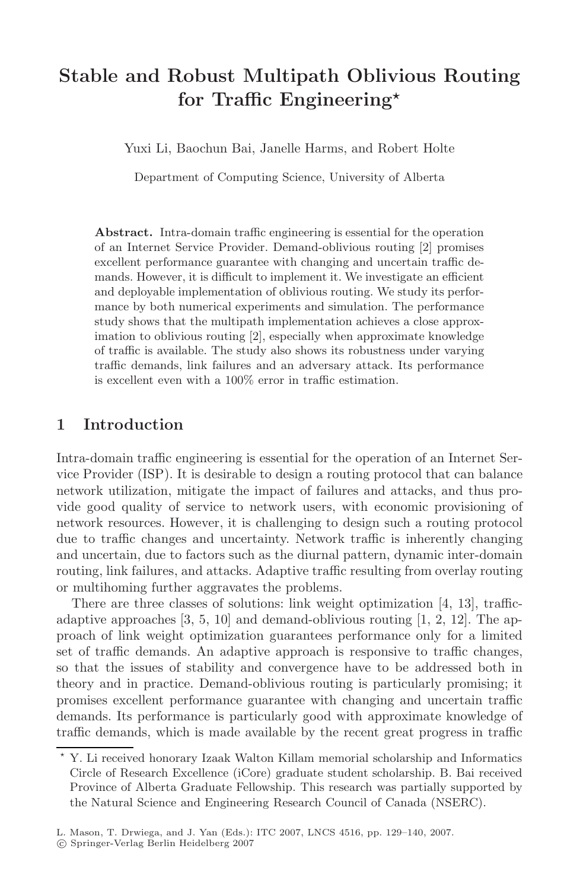# Stable and Robust Multipath Oblivious Routing for Traffic Engineering<sup>\*</sup>

Yuxi Li, Baochun Bai, Janelle Harms, and Robert Holte

Department of Computing Science, University of Alberta

Abstract. Intra-domain traffic engineering is essential for the operation of an Internet Service Provider. Demand-oblivious routing [2] promises excellent performance guarantee with changing and uncertain traffic demands. However, it is difficult to implement it. We investigate an efficient and deployable implementation of oblivious routing. We study its performance by both numerical experiments and simulation. The performance study shows that the multipath implementation achieves a close approximation to oblivious routing [2], especially when approximate knowledge of traffic is available. The study also shows its robustness under varying traffic demands, link failures and an adversary attack. Its performance is excellent even with a 100% error in traffic estimation.

#### 1 Introduction

Intra-domain traffic engineering is essential for the operation of an Internet Service Provider (ISP). It is desirable to design a routing protocol that can balance network utilization, mitigate the impact of failures and attacks, and thus provide good quality of service to network users, with economic provisioning of network resources. However, it is challenging to design such a routing protocol due to traffic changes and uncertainty. Network traffic is inherently changing and uncertain, due to factors such as the diurnal pattern, dynamic inter-domain routing, link failures, and attacks. Adaptive traffic resulting from overlay routing or multihoming further aggravates the problems.

There are three classes of solutions: link weight optimization [4, 13], trafficadaptive approaches  $[3, 5, 10]$  and demand-oblivious routing  $[1, 2, 12]$ . The approach of link weight optimization guarantees performance only for a limited set of traffic demands. An adaptive approach is responsive to traffic changes, so that the issues of stability and convergence have to be addressed both in theory and in practice. Demand-oblivious routing is particularly promising; it promises excellent performance guarantee with changing and uncertain traffic demands. Its performance is particularly good with approximate knowledge of traffic demands, which is made available by the recent great progress in traffic

<sup>⋆</sup> Y. Li received honorary Izaak Walton Killam memorial scholarship and Informatics Circle of Research Excellence (iCore) graduate student scholarship. B. Bai received Province of Alberta Graduate Fellowship. This research was partially supported by the Natural Science and Engineering Research Council of Canada (NSERC).

L. Mason, T. Drwiega, and J. Yan (Eds.): ITC 2007, LNCS 4516, pp. 129–140, 2007.

<sup>-</sup>c Springer-Verlag Berlin Heidelberg 2007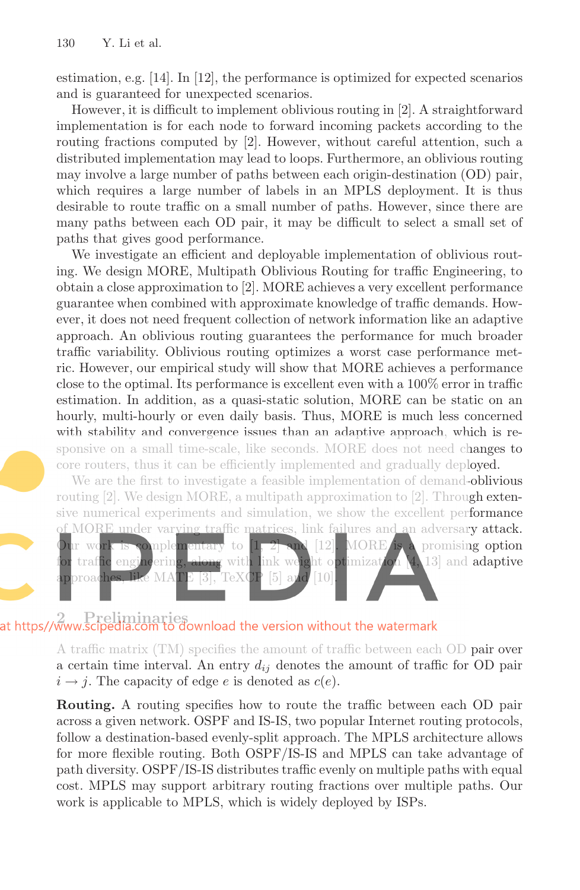estimation, e.g. [14]. In [12], the performance is optimized for expected scenarios and is guaranteed for unexpected scenarios.

However, it is difficult to implement oblivious routing in [2]. A straightforward implementation is for each node to forward incoming packets according to the routing fractions computed by [2]. However, without careful attention, such a distributed implementation may lead to loops. Furthermore, an oblivious routing may involve a large number of paths between each origin-destination (OD) pair, which requires a large number of labels in an MPLS deployment. It is thus desirable to route traffic on a small number of paths. However, since there are many paths between each OD pair, it may be difficult to select a small set of paths that gives good performance.

We investigate an efficient and deployable implementation of oblivious routing. We design MORE, Multipath Oblivious Routing for traffic Engineering, to obtain a close approximation to [2]. MORE achieves a very excellent performance guarantee when combined with approximate knowledge of traffic demands. However, it does not need frequent collection of network information like an adaptive approach. An oblivious routing guarantees the performance for much broader traffic variability. Oblivious routing optimizes a worst case performance metric. However, our empirical study will show that MORE achieves a performance close to the optimal. Its performance is excellent even with a 100% error in traffic estimation. In addition, as a quasi-static solution, MORE can be static on an hourly, multi-hourly or even daily basis. Thus, MORE is much less concerned with stability and convergence issues than an adaptive approach, which is responsive on a small time-scale, like seconds. MORE does not need changes to core routers, thus it can be efficiently implemented and gradually deployed.

We are the first to investigate a feasible implementation of demand-**oblivious** routing  $[2]$ . We design MORE, a multipath approximation to  $[2]$ . Through extensive numerical experiments and simulation, we show the excellent performance of MORE under varying traffic matrices, link failures and an adversary attack. Our work is complementary to [1, 2] and [12]. MORE is a promising option for traffic engineering, along with link weight optimization  $[4, 13]$  and adaptive approaches, like MATE [3], TeXCP [5] and [10].

## at https//www.scipedia.com to download the version without the watermark

A traffic matrix (TM) specifies the amount of traffic between each OD pair over a certain time interval. An entry  $d_{ij}$  denotes the amount of traffic for OD pair  $i \rightarrow j$ . The capacity of edge e is denoted as  $c(e)$ .

Routing. A routing specifies how to route the traffic between each OD pair across a given network. OSPF and IS-IS, two popular Internet routing protocols, follow a destination-based evenly-split approach. The MPLS architecture allows for more flexible routing. Both OSPF/IS-IS and MPLS can take advantage of path diversity. OSPF/IS-IS distributes traffic evenly on multiple paths with equal cost. MPLS may support arbitrary routing fractions over multiple paths. Our work is applicable to MPLS, which is widely deployed by ISPs.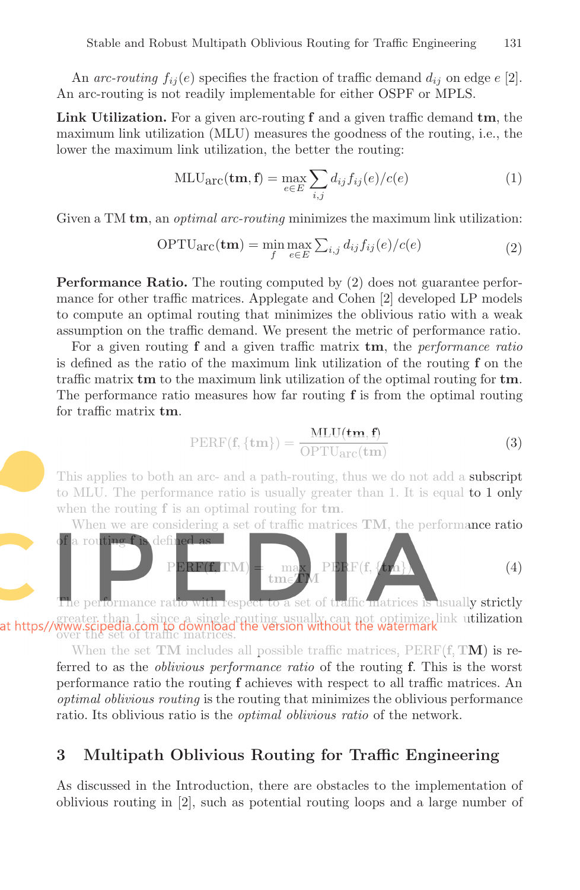An arc-routing  $f_{ij}(e)$  specifies the fraction of traffic demand  $d_{ij}$  on edge  $e$  [2]. An arc-routing is not readily implementable for either OSPF or MPLS.

Link Utilization. For a given arc-routing f and a given traffic demand tm, the maximum link utilization (MLU) measures the goodness of the routing, i.e., the lower the maximum link utilization, the better the routing:

$$
MLU_{\text{arc}}(\mathbf{tm}, \mathbf{f}) = \max_{e \in E} \sum_{i,j} d_{ij} f_{ij}(e) / c(e)
$$
 (1)

Given a TM  $tm$ , an *optimal arc-routing* minimizes the maximum link utilization:

$$
OPTU_{\text{arc}}(\mathbf{tm}) = \min_{f} \max_{e \in E} \sum_{i,j} d_{ij} f_{ij}(e) / c(e)
$$
 (2)

**Performance Ratio.** The routing computed by (2) does not guarantee performance for other traffic matrices. Applegate and Cohen [2] developed LP models to compute an optimal routing that minimizes the oblivious ratio with a weak assumption on the traffic demand. We present the metric of performance ratio.

For a given routing  $f$  and a given traffic matrix  $tm$ , the *performance ratio* is defined as the ratio of the maximum link utilization of the routing f on the traffic matrix tm to the maximum link utilization of the optimal routing for tm. The performance ratio measures how far routing  $f$  is from the optimal routing for traffic matrix tm.

$$
PERF(f, \{tm\}) = \frac{MLU(tm, f)}{OPTU_{\text{arc}}(tm)}
$$
 (3)

This applies to both an arc- and a path-routing, thus we do not add a **subscript** to MLU. The performance ratio is usually greater than 1. It is equal to 1 only when the routing **f** is an optimal routing for **tm**.

When we are considering a set of traffic matrices **TM**, the performance ratio



The performance ratio with respect to a set of traffic matrices is usually strictly greater than 1, since a single routing usually can not optimize link u**tilization**<br>www.scipedia.com to download the version without the watermark at https/ over the set of traffic matrices.

> When the set  $TM$  includes all possible traffic matrices,  $PERF(f, TM)$  is referred to as the oblivious performance ratio of the routing f. This is the worst performance ratio the routing f achieves with respect to all traffic matrices. An optimal oblivious routing is the routing that minimizes the oblivious performance ratio. Its oblivious ratio is the optimal oblivious ratio of the network.

## 3 Multipath Oblivious Routing for Traffic Engineering

As discussed in the Introduction, there are obstacles to the implementation of oblivious routing in [2], such as potential routing loops and a large number of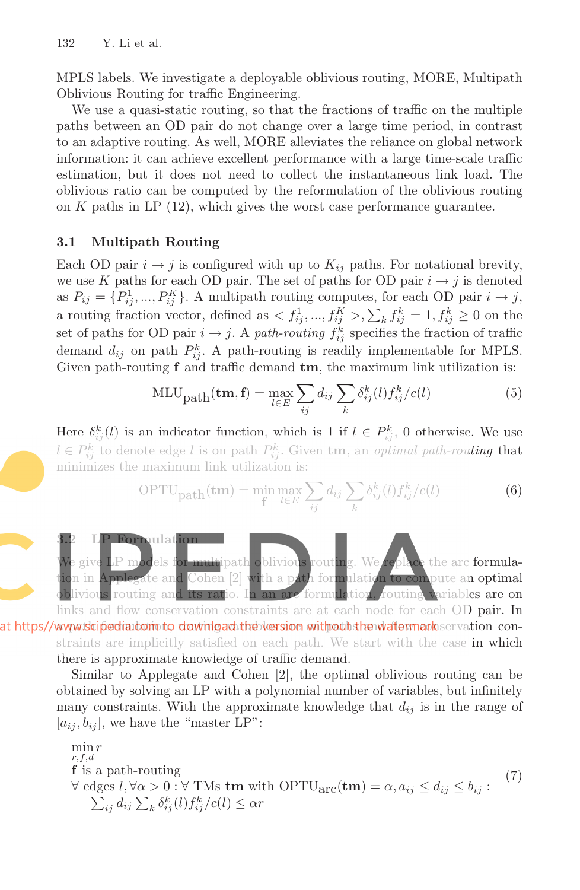MPLS labels. We investigate a deployable oblivious routing, MORE, Multipath Oblivious Routing for traffic Engineering.

We use a quasi-static routing, so that the fractions of traffic on the multiple paths between an OD pair do not change over a large time period, in contrast to an adaptive routing. As well, MORE alleviates the reliance on global network information: it can achieve excellent performance with a large time-scale traffic estimation, but it does not need to collect the instantaneous link load. The oblivious ratio can be computed by the reformulation of the oblivious routing on  $K$  paths in LP  $(12)$ , which gives the worst case performance guarantee.

## 3.1 Multipath Routing

Each OD pair  $i \rightarrow j$  is configured with up to  $K_{ij}$  paths. For notational brevity, we use K paths for each OD pair. The set of paths for OD pair  $i \rightarrow j$  is denoted as  $P_{ij} = \{P_{ij}^1, ..., P_{ij}^K\}$ . A multipath routing computes, for each OD pair  $i \to j$ , a routing fraction vector, defined as  $\langle f_{ij}^1, ..., f_{ij}^K \rangle$ ,  $\sum_k f_{ij}^k = 1, f_{ij}^k \ge 0$  on the set of paths for OD pair  $i \to j$ . A path-routing  $f_{ij}^k$  specifies the fraction of traffic demand  $d_{ij}$  on path  $P_{ij}^k$ . A path-routing is readily implementable for MPLS. Given path-routing  $f$  and traffic demand  $tm$ , the maximum link utilization is:

$$
MLU_{path}(\mathbf{tm}, \mathbf{f}) = \max_{l \in E} \sum_{ij} d_{ij} \sum_{k} \delta_{ij}^{k}(l) f_{ij}^{k}/c(l)
$$
(5)

Here  $\delta_{ij}^k(l)$  is an indicator function, which is 1 if  $l \in P_{ij}^k$ , 0 otherwise. We use  $l \in P_{ij}^k$  to denote edge l is on path  $P_{ij}^k$ . Given tm, an *optimal path-routing* that minimizes the maximum link utilization is:

$$
\text{OPTU}_{\text{path}}(\text{tm}) = \min_{\mathbf{f}} \max_{l \in E} \sum_{ij} d_{ij} \sum_{k} \delta_{ij}^{k}(l) f_{ij}^{k}/c(l) \tag{6}
$$



links and flow conservation constraints are at each node for each OD pair. In at https//www.scipedia.com.to downloachthe.version without the watermark.servation constraints are implicitly satisfied on each path. We start with the case in which there is approximate knowledge of traffic demand.

Similar to Applegate and Cohen [2], the optimal oblivious routing can be obtained by solving an LP with a polynomial number of variables, but infinitely many constraints. With the approximate knowledge that  $d_{ij}$  is in the range of  $[a_{ij}, b_{ij}]$ , we have the "master LP":

 $\min r$  $r,f,d$ f is a path-routing  $\forall$  edges  $l, \forall \alpha > 0 : \forall$  TMs tm with  $\text{OPTU}_{\text{arc}}(\text{tm}) = \alpha, a_{ij} \le d_{ij} \le b_{ij}$ :  $\sum_{ij} d_{ij} \sum_{k} \delta_{ij}^{k}(l) f_{ij}^{k}/c(l) \leq \alpha r$ (7)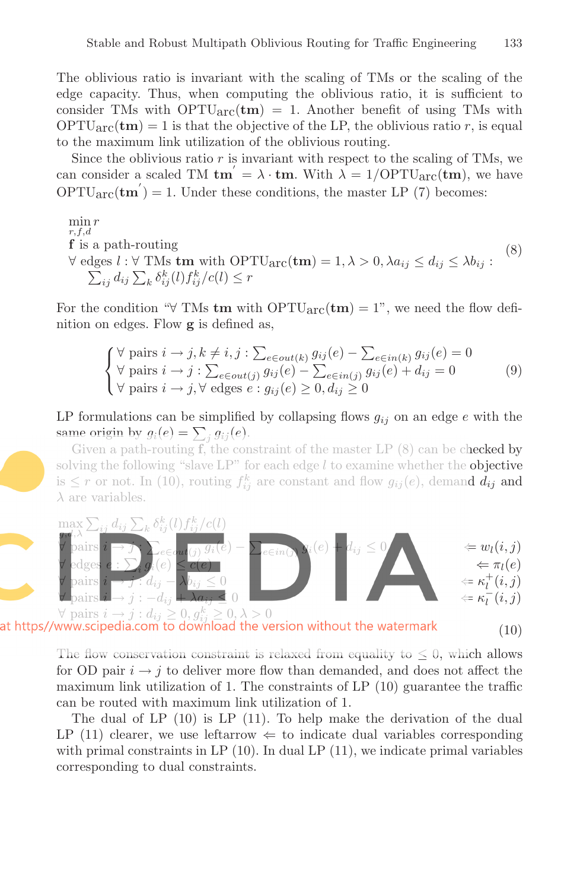The oblivious ratio is invariant with the scaling of TMs or the scaling of the edge capacity. Thus, when computing the oblivious ratio, it is sufficient to consider TMs with  $\text{OPTU}_{\text{arc}}(\mathbf{tm}) = 1$ . Another benefit of using TMs with  $\text{OPTU}_{\text{arc}}(\text{tm}) = 1$  is that the objective of the LP, the oblivious ratio r, is equal to the maximum link utilization of the oblivious routing.

Since the oblivious ratio  $r$  is invariant with respect to the scaling of TMs, we can consider a scaled TM  $\tan \alpha = \lambda \cdot \tan$ . With  $\lambda = 1/OPTU_{\text{arc}}(\tan)$ , we have  $\text{OPTU}_{\text{arc}}(\mathbf{tm}') = 1.$  Under these conditions, the master LP (7) becomes:

 $\min r$  $r,f,d$ f is a path-routing  $\forall$  edges  $l : \forall$  TMs **tm** with  $\text{OPTU}_{\text{arc}}(\text{tm})=1, \lambda > 0, \lambda a_{ij} \leq d_{ij} \leq \lambda b_{ij}$ :  $\sum_{ij} d_{ij} \sum_{k} \delta_{ij}^{k}(l) f_{ij}^{k}/c(l) \leq r$ (8)

For the condition " $\forall$  TMs tm with OPTU<sub>arc</sub>(tm) = 1", we need the flow definition on edges. Flow g is defined as,

$$
\begin{cases}\n\forall \text{ pairs } i \to j, k \neq i, j : \sum_{e \in out(k)} g_{ij}(e) - \sum_{e \in in(k)} g_{ij}(e) = 0 \\
\forall \text{ pairs } i \to j : \sum_{e \in out(j)} g_{ij}(e) - \sum_{e \in in(j)} g_{ij}(e) + d_{ij} = 0 \\
\forall \text{ pairs } i \to j, \forall \text{ edges } e : g_{ij}(e) \ge 0, d_{ij} \ge 0\n\end{cases}
$$
\n(9)

LP formulations can be simplified by collapsing flows  $g_{ij}$  on an edge e with the same origin by  $g_i(e) = \sum_j g_{ij}(e)$ .

Given a path-routing  $\mathbf{f}$ , the constraint of the master LP  $(8)$  can be checked by solving the following "slave  $LP$ " for each edge  $l$  to examine whether the **objective** is  $\leq r$  or not. In (10), routing  $f_{ij}^k$  are constant and flow  $g_{ij}(e)$ , demand  $d_{ij}$  and  $\lambda$  are variables.



 $\forall$   $\text{ pairs } i \rightarrow j : d_{ij} \geq 0, g_{ij}^k \geq 0, \lambda > 0$  at https//www.scipedia.com to download the version without the watermark (10)

> The flow conservation constraint is relaxed from equality to  $\leq 0$ , which allows for OD pair  $i \rightarrow j$  to deliver more flow than demanded, and does not affect the maximum link utilization of 1. The constraints of LP (10) guarantee the traffic can be routed with maximum link utilization of 1.

> The dual of LP (10) is LP (11). To help make the derivation of the dual LP (11) clearer, we use leftarrow  $\Leftarrow$  to indicate dual variables corresponding with primal constraints in LP (10). In dual LP (11), we indicate primal variables corresponding to dual constraints.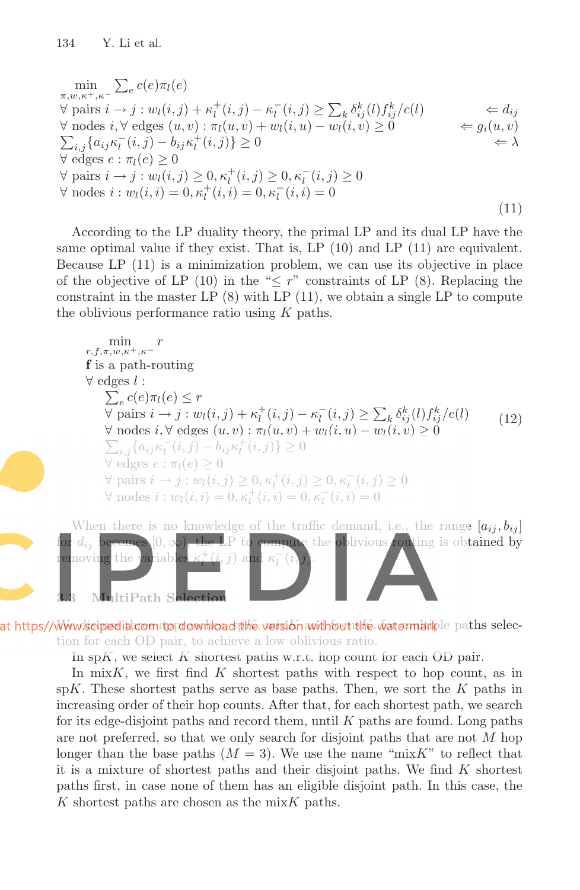$$
\min_{\pi, w, \kappa^+, \kappa^-} \sum_{e} c(e)\pi_l(e)
$$
\n
$$
\forall \text{ pairs } i \to j : w_l(i, j) + \kappa_l^+(i, j) - \kappa_l^-(i, j) \ge \sum_k \delta_{ij}^k(l) f_{ij}^k/c(l) \qquad \Leftarrow d_{ij}
$$
\n
$$
\forall \text{ nodes } i, \forall \text{ edges } (u, v) : \pi_l(u, v) + w_l(i, u) - w_l(i, v) \ge 0 \qquad \Leftarrow g_i(u, v)
$$
\n
$$
\sum_{i,j} \{a_{ij} \kappa_l^-(i, j) - b_{ij} \kappa_l^+(i, j)\} \ge 0 \qquad \Leftarrow \lambda
$$
\n
$$
\forall \text{ edges } e : \pi_l(e) \ge 0
$$
\n
$$
\forall \text{ pairs } i \to j : w_l(i, j) \ge 0, \kappa_l^+(i, j) \ge 0, \kappa_l^-(i, j) \ge 0
$$
\n
$$
\forall \text{ nodes } i : w_l(i, i) = 0, \kappa_l^+(i, i) = 0, \kappa_l^-(i, i) = 0
$$
\n(11)

According to the LP duality theory, the primal LP and its dual LP have the same optimal value if they exist. That is, LP (10) and LP (11) are equivalent. Because LP (11) is a minimization problem, we can use its objective in place of the objective of LP (10) in the " $\leq r$ " constraints of LP (8). Replacing the constraint in the master LP  $(8)$  with LP  $(11)$ , we obtain a single LP to compute the oblivious performance ratio using  $K$  paths.



#### at https//Www.scipedial.com to download the version with out the watermark le-paths selection for each OD pair, to achieve a low oblivious ratio.

In sp $K$ , we select  $K$  shortest paths w.r.t. hop count for each OD pair.

In  $m\ddot{x}$ , we first find K shortest paths with respect to hop count, as in spK. These shortest paths serve as base paths. Then, we sort the  $K$  paths in increasing order of their hop counts. After that, for each shortest path, we search for its edge-disjoint paths and record them, until  $K$  paths are found. Long paths are not preferred, so that we only search for disjoint paths that are not M hop longer than the base paths  $(M = 3)$ . We use the name "mixK" to reflect that it is a mixture of shortest paths and their disjoint paths. We find K shortest paths first, in case none of them has an eligible disjoint path. In this case, the K shortest paths are chosen as the mixK paths.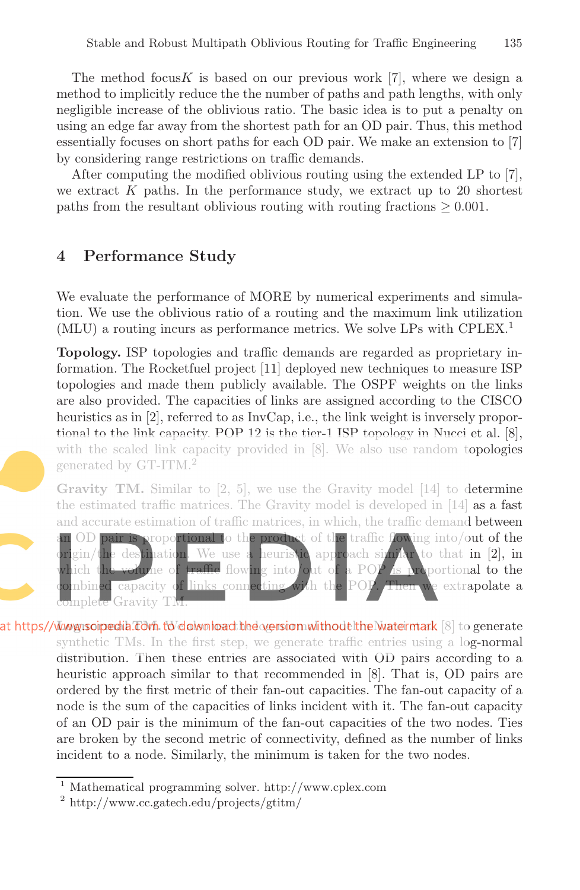The method focus K is based on our previous work [7], where we design a method to implicitly reduce the the number of paths and path lengths, with only negligible increase of the oblivious ratio. The basic idea is to put a penalty on using an edge far away from the shortest path for an OD pair. Thus, this method essentially focuses on short paths for each OD pair. We make an extension to [7] by considering range restrictions on traffic demands.

After computing the modified oblivious routing using the extended LP to [7], we extract  $K$  paths. In the performance study, we extract up to 20 shortest paths from the resultant oblivious routing with routing fractions  $\geq 0.001$ .

## 4 Performance Study

We evaluate the performance of MORE by numerical experiments and simulation. We use the oblivious ratio of a routing and the maximum link utilization (MLU) a routing incurs as performance metrics. We solve LPs with CPLEX.<sup>1</sup>

Topology. ISP topologies and traffic demands are regarded as proprietary information. The Rocketfuel project [11] deployed new techniques to measure ISP topologies and made them publicly available. The OSPF weights on the links are also provided. The capacities of links are assigned according to the CISCO heuristics as in [2], referred to as InvCap, i.e., the link weight is inversely proportional to the link capacity. POP 12 is the tier-1 ISP topology in Nucci et al. [8], with the scaled link capacity provided in [8]. We also use random topologies generated by GT-ITM.<sup>2</sup>

Gravity TM. Similar to  $[2, 5]$ , we use the Gravity model  $[14]$  to determine the estimated traffic matrices. The Gravity model is developed in [14] as a fast and accurate estimation of traffic matrices, in which, the traffic demand **between** 

OD pair is proportional to the product of the traffic flowing into/out of the origin/the destination. We use a heuristic approach similar to that in [2], in which the volume of traffic flowing into/out of a POP is proportional to the combined capacity of links connecting with the POP. Then we extrapolate a complete Gravity TM.

at https//www.soipedia.com. to clownload the version without the Watermark  $[8]$  to generate synthetic TMs. In the first step, we generate traffic entries using a log-normal distribution. Then these entries are associated with OD pairs according to a heuristic approach similar to that recommended in [8]. That is, OD pairs are ordered by the first metric of their fan-out capacities. The fan-out capacity of a node is the sum of the capacities of links incident with it. The fan-out capacity of an OD pair is the minimum of the fan-out capacities of the two nodes. Ties are broken by the second metric of connectivity, defined as the number of links incident to a node. Similarly, the minimum is taken for the two nodes.

<sup>1</sup> Mathematical programming solver. http://www.cplex.com

<sup>2</sup> http://www.cc.gatech.edu/projects/gtitm/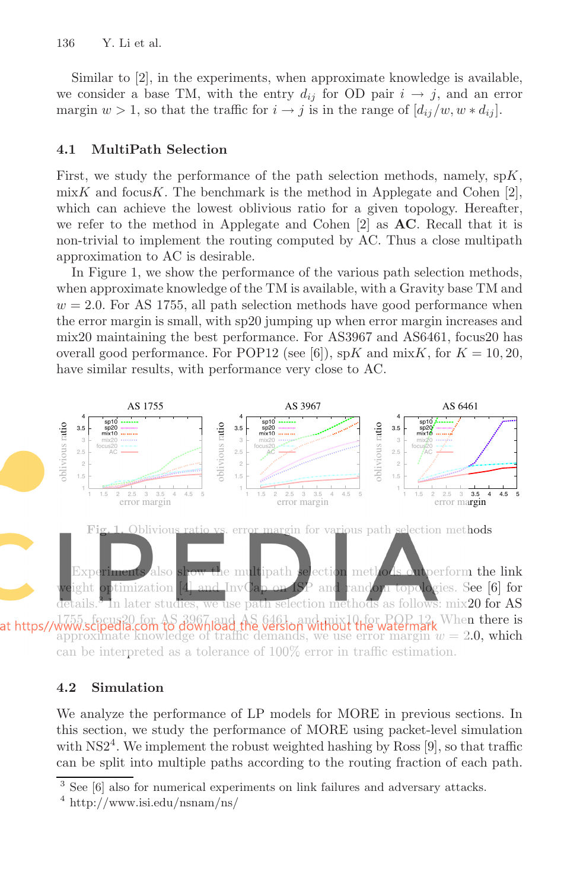Similar to [2], in the experiments, when approximate knowledge is available, we consider a base TM, with the entry  $d_{ij}$  for OD pair  $i \rightarrow j$ , and an error margin  $w > 1$ , so that the traffic for  $i \to j$  is in the range of  $[d_{ij}/w, w * d_{ij}]$ .

#### 4.1 MultiPath Selection

First, we study the performance of the path selection methods, namely, spK,  $\max K$  and focus K. The benchmark is the method in Applegate and Cohen [2], which can achieve the lowest oblivious ratio for a given topology. Hereafter, we refer to the method in Applegate and Cohen  $[2]$  as **AC**. Recall that it is non-trivial to implement the routing computed by AC. Thus a close multipath approximation to AC is desirable.

In Figure 1, we show the performance of the various path selection methods, when approximate knowledge of the TM is available, with a Gravity base TM and  $w = 2.0$ . For AS 1755, all path selection methods have good performance when the error margin is small, with sp20 jumping up when error margin increases and mix20 maintaining the best performance. For AS3967 and AS6461, focus20 has overall good performance. For POP12 (see [6]),  $spK$  and  $mixK$ , for  $K = 10, 20$ , have similar results, with performance very close to AC.



can be interpreted as a tolerance of 100% error in traffic estimation.

#### 4.2 Simulation

We analyze the performance of LP models for MORE in previous sections. In this section, we study the performance of MORE using packet-level simulation with  $NS2<sup>4</sup>$ . We implement the robust weighted hashing by Ross [9], so that traffic can be split into multiple paths according to the routing fraction of each path.

See [6] also for numerical experiments on link failures and adversary attacks.

 $4 \text{ http://www.isi.edu/nsnam/ns/}$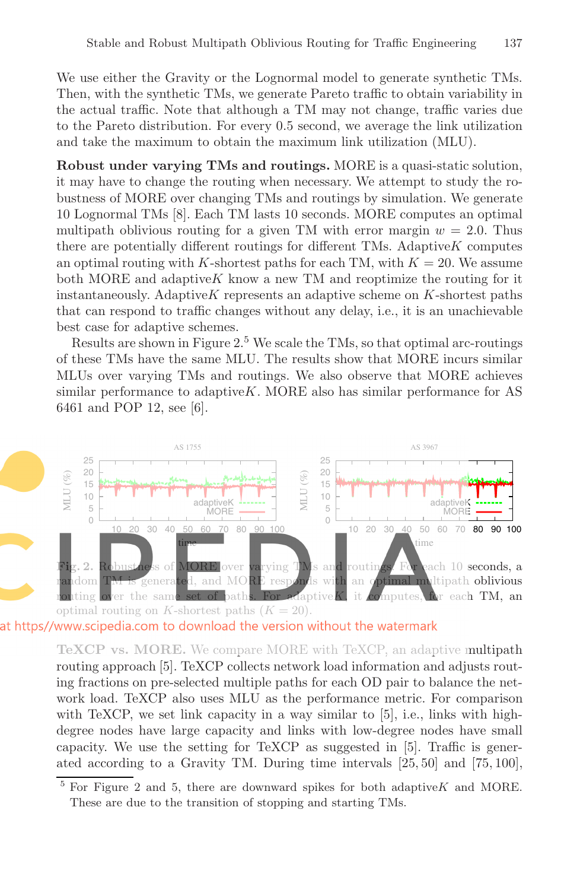We use either the Gravity or the Lognormal model to generate synthetic TMs. Then, with the synthetic TMs, we generate Pareto traffic to obtain variability in the actual traffic. Note that although a TM may not change, traffic varies due to the Pareto distribution. For every 0.5 second, we average the link utilization and take the maximum to obtain the maximum link utilization (MLU).

Robust under varying TMs and routings. MORE is a quasi-static solution, it may have to change the routing when necessary. We attempt to study the robustness of MORE over changing TMs and routings by simulation. We generate 10 Lognormal TMs [8]. Each TM lasts 10 seconds. MORE computes an optimal multipath oblivious routing for a given TM with error margin  $w = 2.0$ . Thus there are potentially different routings for different TMs. Adaptive K computes an optimal routing with K-shortest paths for each TM, with  $K = 20$ . We assume both MORE and adaptive K know a new TM and reoptimize the routing for it instantaneously. Adaptive K represents an adaptive scheme on  $K$ -shortest paths that can respond to traffic changes without any delay, i.e., it is an unachievable best case for adaptive schemes.

Results are shown in Figure 2.<sup>5</sup> We scale the TMs, so that optimal arc-routings of these TMs have the same MLU. The results show that MORE incurs similar MLUs over varying TMs and routings. We also observe that MORE achieves similar performance to adaptive K. MORE also has similar performance for AS 6461 and POP 12, see [6].



at https//www.scipedia.com to download the version without the watermark

TeXCP vs. MORE. We compare MORE with TeXCP, an adaptive multipath routing approach [5]. TeXCP collects network load information and adjusts routing fractions on pre-selected multiple paths for each OD pair to balance the network load. TeXCP also uses MLU as the performance metric. For comparison with TeXCP, we set link capacity in a way similar to [5], i.e., links with highdegree nodes have large capacity and links with low-degree nodes have small capacity. We use the setting for TeXCP as suggested in [5]. Traffic is generated according to a Gravity TM. During time intervals [25, 50] and [75, 100],

 $5$  For Figure 2 and 5, there are downward spikes for both adaptive K and MORE. These are due to the transition of stopping and starting TMs.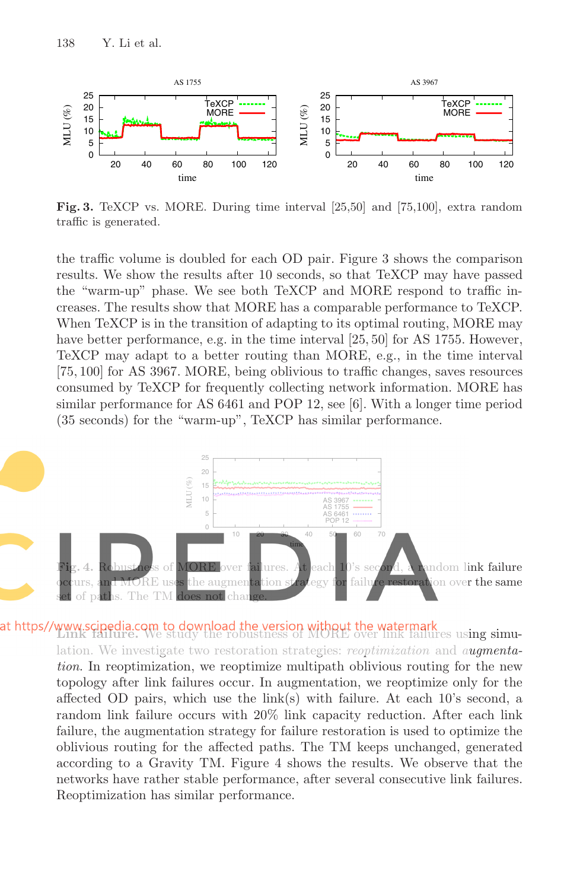

Fig. 3. TeXCP vs. MORE. During time interval [25,50] and [75,100], extra random traffic is generated.

the traffic volume is doubled for each OD pair. Figure 3 shows the comparison results. We show the results after 10 seconds, so that TeXCP may have passed the "warm-up" phase. We see both TeXCP and MORE respond to traffic increases. The results show that MORE has a comparable performance to TeXCP. When TeXCP is in the transition of adapting to its optimal routing, MORE may have better performance, e.g. in the time interval [25, 50] for AS 1755. However, TeXCP may adapt to a better routing than MORE, e.g., in the time interval [75, 100] for AS 3967. MORE, being oblivious to traffic changes, saves resources consumed by TeXCP for frequently collecting network information. MORE has similar performance for AS 6461 and POP 12, see [6]. With a longer time period (35 seconds) for the "warm-up", TeXCP has similar performance.



at https//www.scipedia.com to download the version without the watermark<br>Link failure. We study the robustness of MORE over link failures using simu-

lation. We investigate two restoration strategies: *reoptimization* and *augmenta*tion. In reoptimization, we reoptimize multipath oblivious routing for the new topology after link failures occur. In augmentation, we reoptimize only for the affected OD pairs, which use the link(s) with failure. At each 10's second, a random link failure occurs with 20% link capacity reduction. After each link failure, the augmentation strategy for failure restoration is used to optimize the oblivious routing for the affected paths. The TM keeps unchanged, generated according to a Gravity TM. Figure 4 shows the results. We observe that the networks have rather stable performance, after several consecutive link failures. Reoptimization has similar performance.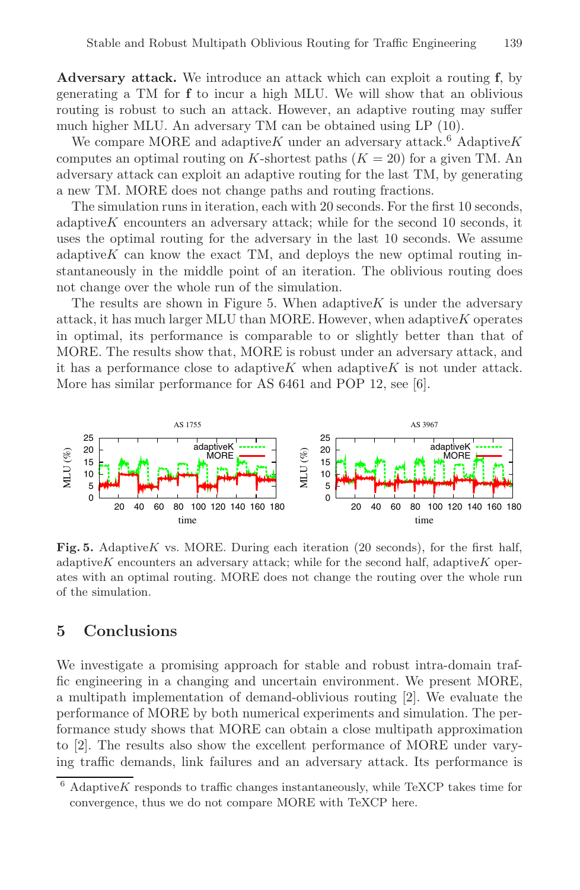Adversary attack. We introduce an attack which can exploit a routing f, by generating a TM for f to incur a high MLU. We will show that an oblivious routing is robust to such an attack. However, an adaptive routing may suffer much higher MLU. An adversary TM can be obtained using LP (10).

We compare MORE and adaptive K under an adversary attack.<sup>6</sup> Adaptive K computes an optimal routing on K-shortest paths  $(K = 20)$  for a given TM. An adversary attack can exploit an adaptive routing for the last TM, by generating a new TM. MORE does not change paths and routing fractions.

The simulation runs in iteration, each with 20 seconds. For the first 10 seconds, adaptive K encounters an adversary attack; while for the second 10 seconds, it uses the optimal routing for the adversary in the last 10 seconds. We assume adaptive K can know the exact TM, and deploys the new optimal routing instantaneously in the middle point of an iteration. The oblivious routing does not change over the whole run of the simulation.

The results are shown in Figure 5. When adaptive K is under the adversary attack, it has much larger MLU than MORE. However, when adaptiveK operates in optimal, its performance is comparable to or slightly better than that of MORE. The results show that, MORE is robust under an adversary attack, and it has a performance close to adaptive K when adaptive K is not under attack. More has similar performance for AS 6461 and POP 12, see [6].



Fig. 5. AdaptiveK vs. MORE. During each iteration (20 seconds), for the first half, adaptive K encounters an adversary attack; while for the second half, adaptive K operates with an optimal routing. MORE does not change the routing over the whole run of the simulation.

#### 5 Conclusions

We investigate a promising approach for stable and robust intra-domain traffic engineering in a changing and uncertain environment. We present MORE, a multipath implementation of demand-oblivious routing [2]. We evaluate the performance of MORE by both numerical experiments and simulation. The performance study shows that MORE can obtain a close multipath approximation to [2]. The results also show the excellent performance of MORE under varying traffic demands, link failures and an adversary attack. Its performance is

 $6$  Adaptive K responds to traffic changes instantaneously, while TeXCP takes time for convergence, thus we do not compare MORE with TeXCP here.